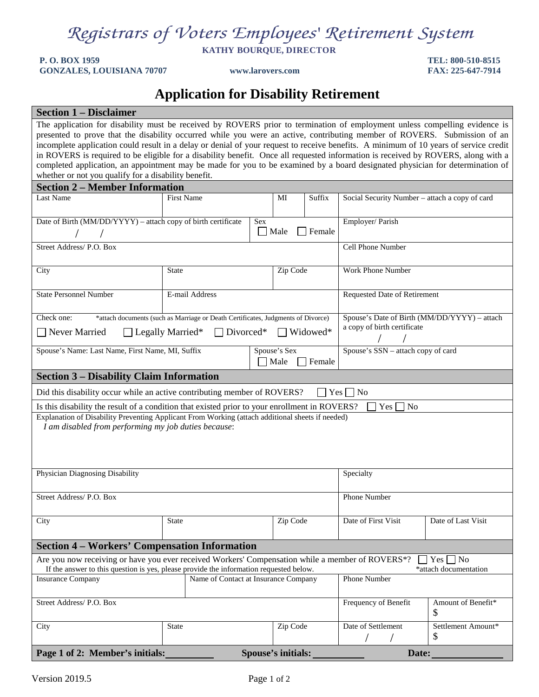**KATHY BOURQUE, DIRECTOR**

**P. O. BOX 1959 TEL: 800-510-8515 GONZALES, LOUISIANA 70707 www.larovers.com FAX: 225-647-7914**

## **Application for Disability Retirement**

| <b>Section 1 – Disclaimer</b>                                                                                                                                                                                                                                                                                                                                                                                                                                                                                                                                                                                                                                                                                                  |                                   |                |        |                                    |                                                |                              |                          |  |
|--------------------------------------------------------------------------------------------------------------------------------------------------------------------------------------------------------------------------------------------------------------------------------------------------------------------------------------------------------------------------------------------------------------------------------------------------------------------------------------------------------------------------------------------------------------------------------------------------------------------------------------------------------------------------------------------------------------------------------|-----------------------------------|----------------|--------|------------------------------------|------------------------------------------------|------------------------------|--------------------------|--|
| The application for disability must be received by ROVERS prior to termination of employment unless compelling evidence is<br>presented to prove that the disability occurred while you were an active, contributing member of ROVERS. Submission of an<br>incomplete application could result in a delay or denial of your request to receive benefits. A minimum of 10 years of service credit<br>in ROVERS is required to be eligible for a disability benefit. Once all requested information is received by ROVERS, along with a<br>completed application, an appointment may be made for you to be examined by a board designated physician for determination of<br>whether or not you qualify for a disability benefit. |                                   |                |        |                                    |                                                |                              |                          |  |
| <b>Section 2 - Member Information</b>                                                                                                                                                                                                                                                                                                                                                                                                                                                                                                                                                                                                                                                                                          |                                   |                |        |                                    |                                                |                              |                          |  |
| Last Name                                                                                                                                                                                                                                                                                                                                                                                                                                                                                                                                                                                                                                                                                                                      | <b>First Name</b><br>MI<br>Suffix |                |        |                                    | Social Security Number - attach a copy of card |                              |                          |  |
| Date of Birth (MM/DD/YYYY) - attach copy of birth certificate<br>Sex<br>Male                                                                                                                                                                                                                                                                                                                                                                                                                                                                                                                                                                                                                                                   |                                   |                |        |                                    | Female                                         | Employer/Parish              |                          |  |
| Street Address/ P.O. Box                                                                                                                                                                                                                                                                                                                                                                                                                                                                                                                                                                                                                                                                                                       |                                   |                |        |                                    |                                                | Cell Phone Number            |                          |  |
| City                                                                                                                                                                                                                                                                                                                                                                                                                                                                                                                                                                                                                                                                                                                           | State                             |                |        | Zip Code                           |                                                | Work Phone Number            |                          |  |
| <b>State Personnel Number</b>                                                                                                                                                                                                                                                                                                                                                                                                                                                                                                                                                                                                                                                                                                  |                                   | E-mail Address |        |                                    |                                                | Requested Date of Retirement |                          |  |
| Check one:<br>Spouse's Date of Birth (MM/DD/YYYY) - attach<br>*attach documents (such as Marriage or Death Certificates, Judgments of Divorce)<br>a copy of birth certificate<br>Widowed*<br>Never Married<br>$\Box$ Legally Married*<br>Divorced*                                                                                                                                                                                                                                                                                                                                                                                                                                                                             |                                   |                |        |                                    |                                                |                              |                          |  |
| Spouse's Name: Last Name, First Name, MI, Suffix<br>Spouse's Sex<br>Male                                                                                                                                                                                                                                                                                                                                                                                                                                                                                                                                                                                                                                                       |                                   |                | Female | Spouse's SSN - attach copy of card |                                                |                              |                          |  |
| <b>Section 3 – Disability Claim Information</b>                                                                                                                                                                                                                                                                                                                                                                                                                                                                                                                                                                                                                                                                                |                                   |                |        |                                    |                                                |                              |                          |  |
| Did this disability occur while an active contributing member of ROVERS?<br>$Yes \Box No$                                                                                                                                                                                                                                                                                                                                                                                                                                                                                                                                                                                                                                      |                                   |                |        |                                    |                                                |                              |                          |  |
| Is this disability the result of a condition that existed prior to your enrollment in ROVERS?<br>No<br>Yes                                                                                                                                                                                                                                                                                                                                                                                                                                                                                                                                                                                                                     |                                   |                |        |                                    |                                                |                              |                          |  |
| Explanation of Disability Preventing Applicant From Working (attach additional sheets if needed)<br>I am disabled from performing my job duties because:                                                                                                                                                                                                                                                                                                                                                                                                                                                                                                                                                                       |                                   |                |        |                                    |                                                |                              |                          |  |
| Physician Diagnosing Disability                                                                                                                                                                                                                                                                                                                                                                                                                                                                                                                                                                                                                                                                                                |                                   |                |        |                                    |                                                | Specialty                    |                          |  |
| Street Address/ P.O. Box                                                                                                                                                                                                                                                                                                                                                                                                                                                                                                                                                                                                                                                                                                       |                                   |                |        |                                    | Phone Number                                   |                              |                          |  |
| City                                                                                                                                                                                                                                                                                                                                                                                                                                                                                                                                                                                                                                                                                                                           | State                             |                |        | Zip Code                           |                                                | Date of First Visit          | Date of Last Visit       |  |
| <b>Section 4 – Workers' Compensation Information</b>                                                                                                                                                                                                                                                                                                                                                                                                                                                                                                                                                                                                                                                                           |                                   |                |        |                                    |                                                |                              |                          |  |
| Are you now receiving or have you ever received Workers' Compensation while a member of ROVERS*?<br>$\vert$ Yes $\vert$ No<br>If the answer to this question is yes, please provide the information requested below.<br>*attach documentation                                                                                                                                                                                                                                                                                                                                                                                                                                                                                  |                                   |                |        |                                    |                                                |                              |                          |  |
| <b>Insurance Company</b><br>Name of Contact at Insurance Company                                                                                                                                                                                                                                                                                                                                                                                                                                                                                                                                                                                                                                                               |                                   |                |        | Phone Number                       |                                                |                              |                          |  |
| Street Address/ P.O. Box                                                                                                                                                                                                                                                                                                                                                                                                                                                                                                                                                                                                                                                                                                       |                                   |                |        |                                    |                                                | Frequency of Benefit         | Amount of Benefit*<br>\$ |  |
| City                                                                                                                                                                                                                                                                                                                                                                                                                                                                                                                                                                                                                                                                                                                           | <b>State</b>                      |                |        | Zip Code                           |                                                | Date of Settlement           | Settlement Amount*<br>\$ |  |
| Page 1 of 2: Member's initials:                                                                                                                                                                                                                                                                                                                                                                                                                                                                                                                                                                                                                                                                                                |                                   |                |        | <b>Spouse's initials:</b>          |                                                | Date:                        |                          |  |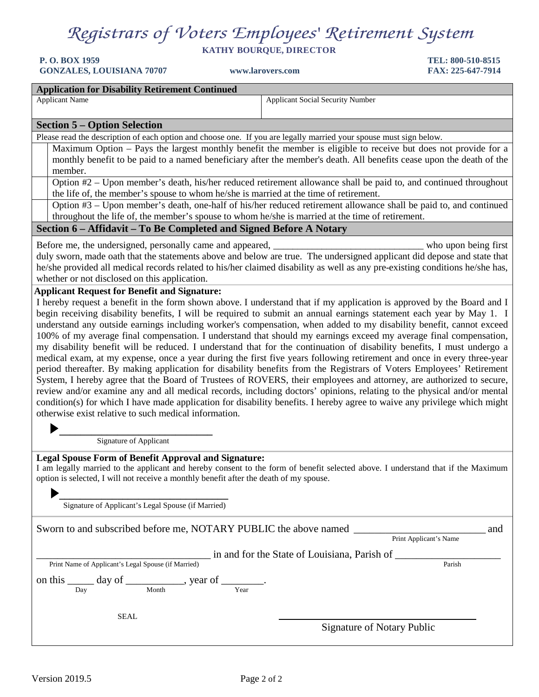**KATHY BOURQUE, DIRECTOR**

**P. O. BOX 1959 TEL: 800-510-8515 GONZALES, LOUISIANA 70707 www.larovers.com FAX: 225-647-7914**

#### **Application for Disability Retirement Continued**

Applicant Name Applicant Name Applicant Name Applicant Name Applicant Social Security Number

#### **Section 5 – Option Selection**

Please read the description of each option and choose one. If you are legally married your spouse must sign below.

Maximum Option – Pays the largest monthly benefit the member is eligible to receive but does not provide for a monthly benefit to be paid to a named beneficiary after the member's death. All benefits cease upon the death of the member.

Option #2 – Upon member's death, his/her reduced retirement allowance shall be paid to, and continued throughout the life of, the member's spouse to whom he/she is married at the time of retirement.

Option #3 – Upon member's death, one-half of his/her reduced retirement allowance shall be paid to, and continued throughout the life of, the member's spouse to whom he/she is married at the time of retirement.

#### **Section 6 – Affidavit – To Be Completed and Signed Before A Notary**

Before me, the undersigned, personally came and appeared, \_\_\_\_\_\_\_\_\_\_\_\_\_\_\_\_\_\_\_\_\_\_\_\_\_\_\_\_\_\_\_ who upon being first

duly sworn, made oath that the statements above and below are true. The undersigned applicant did depose and state that he/she provided all medical records related to his/her claimed disability as well as any pre-existing conditions he/she has, whether or not disclosed on this application.

#### **Applicant Request for Benefit and Signature:**

I hereby request a benefit in the form shown above. I understand that if my application is approved by the Board and I begin receiving disability benefits, I will be required to submit an annual earnings statement each year by May 1. I understand any outside earnings including worker's compensation, when added to my disability benefit, cannot exceed 100% of my average final compensation. I understand that should my earnings exceed my average final compensation, my disability benefit will be reduced. I understand that for the continuation of disability benefits, I must undergo a medical exam, at my expense, once a year during the first five years following retirement and once in every three-year period thereafter. By making application for disability benefits from the Registrars of Voters Employees' Retirement System, I hereby agree that the Board of Trustees of ROVERS, their employees and attorney, are authorized to secure, review and/or examine any and all medical records, including doctors' opinions, relating to the physical and/or mental condition(s) for which I have made application for disability benefits. I hereby agree to waive any privilege which might otherwise exist relative to such medical information.

 **\_\_\_\_\_\_\_\_\_\_\_\_\_\_\_\_\_\_\_\_\_\_\_\_\_\_\_\_\_**Signature of Applicant

#### **Legal Spouse Form of Benefit Approval and Signature:**

I am legally married to the applicant and hereby consent to the form of benefit selected above. I understand that if the Maximum option is selected, I will not receive a monthly benefit after the death of my spouse.

**\_\_\_\_\_\_\_\_\_\_\_\_\_\_\_\_\_\_\_\_\_\_\_\_\_\_\_\_\_\_\_\_** Signature of Applicant's Legal Spouse (if Married)

| Sworn to and subscribed before me, NOTARY PUBLIC the above named |             |                                                                     |                                              |                            | and    |
|------------------------------------------------------------------|-------------|---------------------------------------------------------------------|----------------------------------------------|----------------------------|--------|
|                                                                  |             |                                                                     |                                              | Print Applicant's Name     |        |
|                                                                  |             |                                                                     | in and for the State of Louisiana, Parish of |                            |        |
| Print Name of Applicant's Legal Spouse (if Married)              |             |                                                                     |                                              |                            | Parish |
|                                                                  |             | on this $\_\_\_\_$ day of $\_\_\_\_\_\_$ , year of $\_\_\_\_\_\_$ . |                                              |                            |        |
| Day                                                              | Month       | Year                                                                |                                              |                            |        |
|                                                                  |             |                                                                     |                                              |                            |        |
|                                                                  | <b>SEAL</b> |                                                                     |                                              |                            |        |
|                                                                  |             |                                                                     |                                              | Signature of Notary Public |        |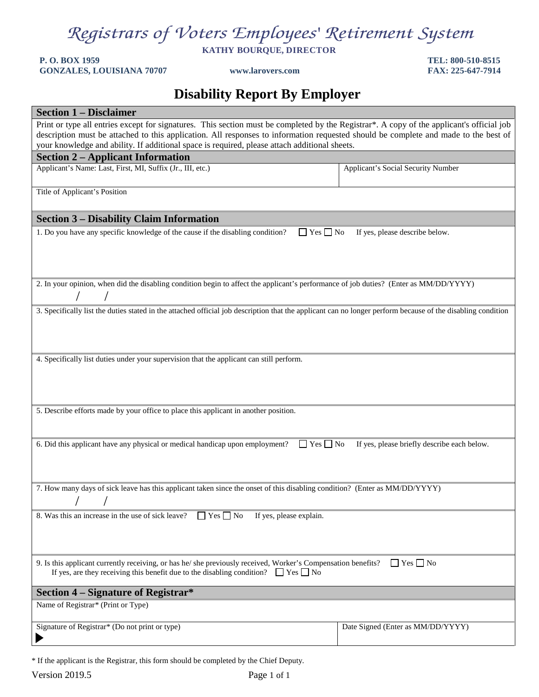**KATHY BOURQUE, DIRECTOR**

#### **P. O. BOX 1959 TEL: 800-510-8515 GONZALES, LOUISIANA 70707 www.larovers.com FAX: 225-647-7914**

### **Disability Report By Employer**

| <b>Section 1 – Disclaimer</b>                                                                                                                                                                                                                                                    |                                    |  |  |  |
|----------------------------------------------------------------------------------------------------------------------------------------------------------------------------------------------------------------------------------------------------------------------------------|------------------------------------|--|--|--|
| Print or type all entries except for signatures. This section must be completed by the Registrar*. A copy of the applicant's official job<br>description must be attached to this application. All responses to information requested should be complete and made to the best of |                                    |  |  |  |
| your knowledge and ability. If additional space is required, please attach additional sheets.<br><b>Section 2 - Applicant Information</b>                                                                                                                                        |                                    |  |  |  |
| Applicant's Name: Last, First, MI, Suffix (Jr., III, etc.)                                                                                                                                                                                                                       | Applicant's Social Security Number |  |  |  |
| Title of Applicant's Position                                                                                                                                                                                                                                                    |                                    |  |  |  |
| <b>Section 3 – Disability Claim Information</b>                                                                                                                                                                                                                                  |                                    |  |  |  |
| 1. Do you have any specific knowledge of the cause if the disabling condition?<br>$\Box$ Yes $\Box$ No<br>If yes, please describe below.                                                                                                                                         |                                    |  |  |  |
| 2. In your opinion, when did the disabling condition begin to affect the applicant's performance of job duties? (Enter as MM/DD/YYYY)                                                                                                                                            |                                    |  |  |  |
| 3. Specifically list the duties stated in the attached official job description that the applicant can no longer perform because of the disabling condition                                                                                                                      |                                    |  |  |  |
| 4. Specifically list duties under your supervision that the applicant can still perform.<br>5. Describe efforts made by your office to place this applicant in another position.                                                                                                 |                                    |  |  |  |
|                                                                                                                                                                                                                                                                                  |                                    |  |  |  |
| $\Box$ Yes $\Box$ No<br>6. Did this applicant have any physical or medical handicap upon employment?<br>If yes, please briefly describe each below.                                                                                                                              |                                    |  |  |  |
| 7. How many days of sick leave has this applicant taken since the onset of this disabling condition? (Enter as MM/DD/YYYY)<br>$\sqrt{2}$                                                                                                                                         |                                    |  |  |  |
| 8. Was this an increase in the use of sick leave?<br>$\Box$ Yes $\Box$ No<br>If yes, please explain.                                                                                                                                                                             |                                    |  |  |  |
| 9. Is this applicant currently receiving, or has he/she previously received, Worker's Compensation benefits?<br>If yes, are they receiving this benefit due to the disabling condition? $\Box$ Yes $\Box$ No                                                                     | $\Box$ Yes $\Box$ No               |  |  |  |
| Section 4 – Signature of Registrar*                                                                                                                                                                                                                                              |                                    |  |  |  |
| Name of Registrar* (Print or Type)                                                                                                                                                                                                                                               |                                    |  |  |  |
| Signature of Registrar* (Do not print or type)                                                                                                                                                                                                                                   | Date Signed (Enter as MM/DD/YYYY)  |  |  |  |

\* If the applicant is the Registrar, this form should be completed by the Chief Deputy.